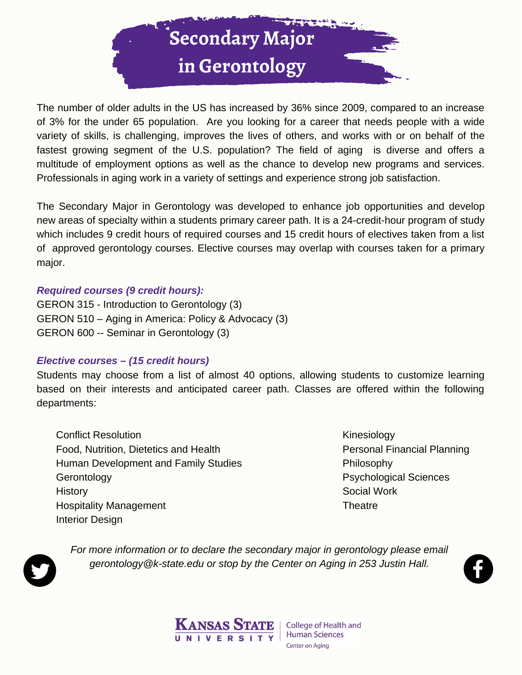

The number of older adults in the US has increased by 36% since 2009, compared to an increase of 3% for the under 65 population. Are you looking for a career that needs people with a wide variety of skills, is challenging, improves the lives of others, and works with or on behalf of the fastest growing segment of the U.S. population? The field of aging is diverse and offers a multitude of employment options as well as the chance to develop new programs and services. Professionals in aging work in a variety of settings and experience strong job satisfaction.

The Secondary Major in Gerontology was developed to enhance job opportunities and develop new areas of specialty within a students primary career path. It is a 24-credit-hour program of study which includes 9 credit hours of required courses and 15 credit hours of electives taken from a list of approved gerontology courses. Elective courses may overlap with courses taken for a primary major.

#### *Required courses (9 credit hours):*

GERON 315 - Introduction to Gerontology (3) GERON 510 – Aging in America: Policy & Advocacy (3) GERON 600 -- Seminar in Gerontology (3)

#### *Elective courses – (15 credit hours)*

Students may choose from a list of almost 40 options, allowing students to customize learning based on their interests and anticipated career path. Classes are offered within the following departments:

Conflict Resolution Food, Nutrition, Dietetics and Health Human Development and Family Studies Gerontology **History** Hospitality Management Interior Design

Kinesiology Personal Financial Planning Philosophy Psychological Sciences Social Work **Theatre** 



*For more information or to declare the secondary major in gerontology please email gerontology@k-state.edu or stop by the Center on Aging in 253 Justin Hall.*